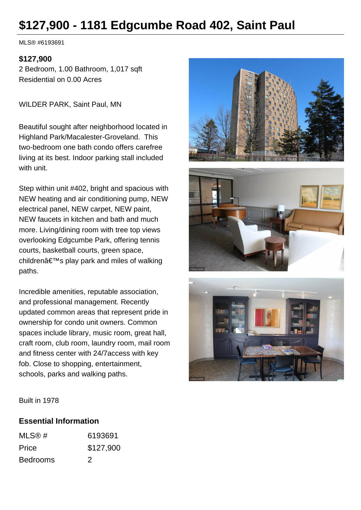# **\$127,900 - 1181 Edgcumbe Road 402, Saint Paul**

MLS® #6193691

#### **\$127,900**

2 Bedroom, 1.00 Bathroom, 1,017 sqft Residential on 0.00 Acres

WILDER PARK, Saint Paul, MN

Beautiful sought after neighborhood located in Highland Park/Macalester-Groveland. This two-bedroom one bath condo offers carefree living at its best. Indoor parking stall included with unit.

Step within unit #402, bright and spacious with NEW heating and air conditioning pump, NEW electrical panel, NEW carpet, NEW paint, NEW faucets in kitchen and bath and much more. Living/dining room with tree top views overlooking Edgcumbe Park, offering tennis courts, basketball courts, green space, children's play park and miles of walking paths.

Incredible amenities, reputable association, and professional management. Recently updated common areas that represent pride in ownership for condo unit owners. Common spaces include library, music room, great hall, craft room, club room, laundry room, mail room and fitness center with 24/7access with key fob. Close to shopping, entertainment, schools, parks and walking paths.





Built in 1978

### **Essential Information**

| MLS@#           | 6193691   |
|-----------------|-----------|
| Price           | \$127,900 |
| <b>Bedrooms</b> | 2         |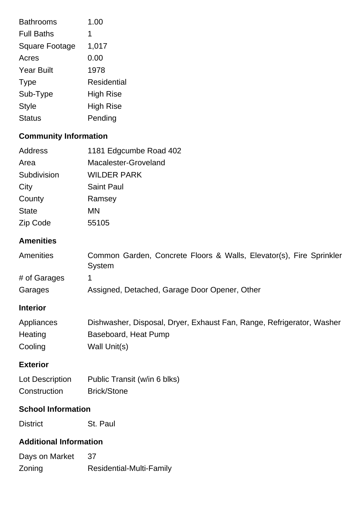| <b>Bathrooms</b>      | 1.00             |
|-----------------------|------------------|
| <b>Full Baths</b>     | 1                |
| <b>Square Footage</b> | 1,017            |
| Acres                 | 0.00             |
| <b>Year Built</b>     | 1978             |
| <b>Type</b>           | Residential      |
| Sub-Type              | <b>High Rise</b> |
| Style                 | High Rise        |
| <b>Status</b>         | Pending          |

# **Community Information**

| Address      | 1181 Edgcumbe Road 402 |
|--------------|------------------------|
| Area         | Macalester-Groveland   |
| Subdivision  | <b>WILDER PARK</b>     |
| City         | <b>Saint Paul</b>      |
| County       | Ramsey                 |
| <b>State</b> | ΜN                     |
| Zip Code     | 55105                  |

# **Amenities**

| <b>Amenities</b> | Common Garden, Concrete Floors & Walls, Elevator(s), Fire Sprinkler<br>System |
|------------------|-------------------------------------------------------------------------------|
| # of Garages     |                                                                               |
| Garages          | Assigned, Detached, Garage Door Opener, Other                                 |

## **Interior**

| Appliances | Dishwasher, Disposal, Dryer, Exhaust Fan, Range, Refrigerator, Washer |
|------------|-----------------------------------------------------------------------|
| Heating    | Baseboard, Heat Pump                                                  |
| Cooling    | Wall Unit(s)                                                          |

# **Exterior**

| Lot Description | Public Transit (w/in 6 blks) |
|-----------------|------------------------------|
| Construction    | <b>Brick/Stone</b>           |

# **School Information**

District St. Paul

# **Additional Information**

| Days on Market | -37                      |
|----------------|--------------------------|
| Zoning         | Residential-Multi-Family |